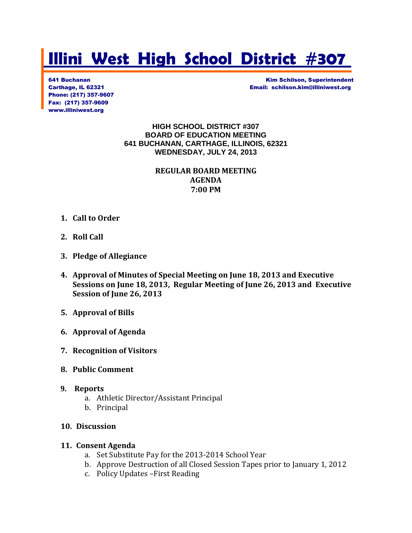# **Illini West High School District #307**

Phone: (217) 357-9607 Fax: (217) 357-9609 www.illiniwest.org

641 Buchanan Kim Schilson, Superintendent Carthage, IL 62321 Email: schilson.kim@illiniwest.org

> **HIGH SCHOOL DISTRICT #307 BOARD OF EDUCATION MEETING 641 BUCHANAN, CARTHAGE, ILLINOIS, 62321 WEDNESDAY, JULY 24, 2013**

> > **REGULAR BOARD MEETING AGENDA 7:00 PM**

- **1. Call to Order**
- **2. Roll Call**
- **3. Pledge of Allegiance**
- **4. Approval of Minutes of Special Meeting on June 18, 2013 and Executive Sessions on June 18, 2013, Regular Meeting of June 26, 2013 and Executive Session of June 26, 2013**
- **5. Approval of Bills**
- **6. Approval of Agenda**
- **7. Recognition of Visitors**
- **8. Public Comment**
- **9. Reports**
	- a. Athletic Director/Assistant Principal
	- b. Principal
- **10. Discussion**

#### **11. Consent Agenda**

- a. Set Substitute Pay for the 2013-2014 School Year
- b. Approve Destruction of all Closed Session Tapes prior to January 1, 2012
- c. Policy Updates –First Reading